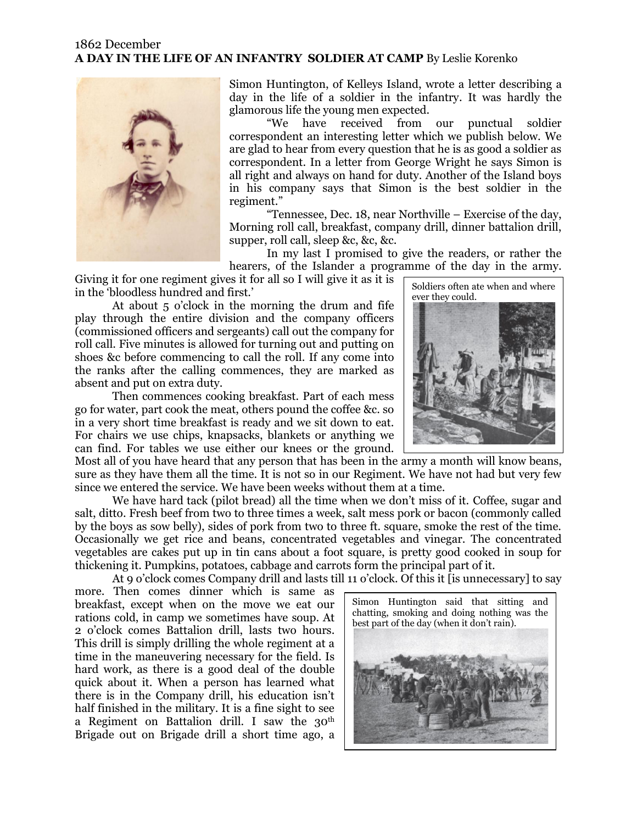## 1862 December **A DAY IN THE LIFE OF AN INFANTRY SOLDIER AT CAMP** By Leslie Korenko



Simon Huntington, of Kelleys Island, wrote a letter describing a day in the life of a soldier in the infantry. It was hardly the glamorous life the young men expected.

"We have received from our punctual soldier correspondent an interesting letter which we publish below. We are glad to hear from every question that he is as good a soldier as correspondent. In a letter from George Wright he says Simon is all right and always on hand for duty. Another of the Island boys in his company says that Simon is the best soldier in the regiment."

"Tennessee, Dec. 18, near Northville – Exercise of the day, Morning roll call, breakfast, company drill, dinner battalion drill, supper, roll call, sleep &c, &c, &c.

In my last I promised to give the readers, or rather the hearers, of the Islander a programme of the day in the army.

Giving it for one regiment gives it for all so I will give it as it is in the 'bloodless hundred and first.'

At about 5 o'clock in the morning the drum and fife play through the entire division and the company officers (commissioned officers and sergeants) call out the company for roll call. Five minutes is allowed for turning out and putting on shoes &c before commencing to call the roll. If any come into the ranks after the calling commences, they are marked as absent and put on extra duty.

Then commences cooking breakfast. Part of each mess go for water, part cook the meat, others pound the coffee &c. so in a very short time breakfast is ready and we sit down to eat. For chairs we use chips, knapsacks, blankets or anything we can find. For tables we use either our knees or the ground.

Most all of you have heard that any person that has been in the army a month will know beans, sure as they have them all the time. It is not so in our Regiment. We have not had but very few since we entered the service. We have been weeks without them at a time.

We have hard tack (pilot bread) all the time when we don't miss of it. Coffee, sugar and salt, ditto. Fresh beef from two to three times a week, salt mess pork or bacon (commonly called by the boys as sow belly), sides of pork from two to three ft. square, smoke the rest of the time. Occasionally we get rice and beans, concentrated vegetables and vinegar. The concentrated vegetables are cakes put up in tin cans about a foot square, is pretty good cooked in soup for thickening it. Pumpkins, potatoes, cabbage and carrots form the principal part of it.

At 9 o'clock comes Company drill and lasts till 11 o'clock. Of this it [is unnecessary] to say

more. Then comes dinner which is same as breakfast, except when on the move we eat our rations cold, in camp we sometimes have soup. At 2 o'clock comes Battalion drill, lasts two hours. This drill is simply drilling the whole regiment at a time in the maneuvering necessary for the field. Is hard work, as there is a good deal of the double quick about it. When a person has learned what there is in the Company drill, his education isn't half finished in the military. It is a fine sight to see a Regiment on Battalion drill. I saw the 30<sup>th</sup> Brigade out on Brigade drill a short time ago, a